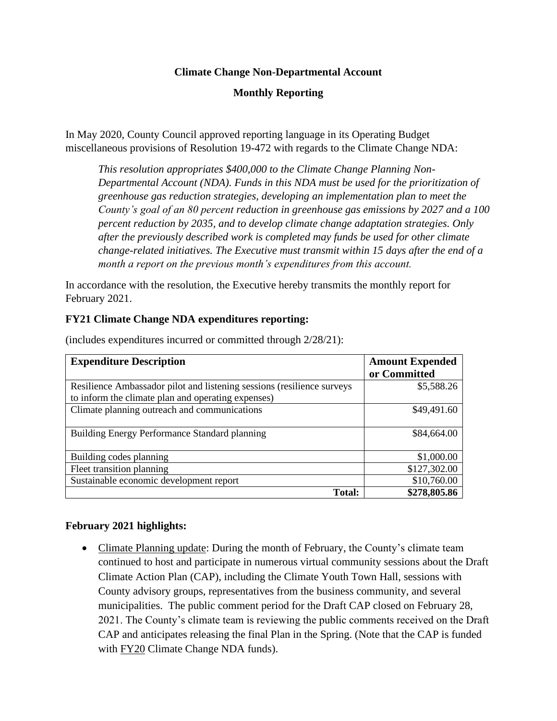### **Climate Change Non-Departmental Account**

# **Monthly Reporting**

In May 2020, County Council approved reporting language in its Operating Budget miscellaneous provisions of Resolution 19-472 with regards to the Climate Change NDA:

*This resolution appropriates \$400,000 to the Climate Change Planning Non-Departmental Account (NDA). Funds in this NDA must be used for the prioritization of greenhouse gas reduction strategies, developing an implementation plan to meet the County's goal of an 80 percent reduction in greenhouse gas emissions by 2027 and a 100 percent reduction by 2035, and to develop climate change adaptation strategies. Only after the previously described work is completed may funds be used for other climate change-related initiatives. The Executive must transmit within 15 days after the end of a month a report on the previous month's expenditures from this account.*

In accordance with the resolution, the Executive hereby transmits the monthly report for February 2021.

### **FY21 Climate Change NDA expenditures reporting:**

| <b>Expenditure Description</b>                                         | <b>Amount Expended</b> |
|------------------------------------------------------------------------|------------------------|
|                                                                        | or Committed           |
| Resilience Ambassador pilot and listening sessions (resilience surveys | \$5,588.26             |
| to inform the climate plan and operating expenses)                     |                        |
| Climate planning outreach and communications                           | \$49,491.60            |
|                                                                        |                        |
| Building Energy Performance Standard planning                          | \$84,664.00            |
|                                                                        |                        |
| Building codes planning                                                | \$1,000.00             |
| Fleet transition planning                                              | \$127,302.00           |
| Sustainable economic development report                                | \$10,760.00            |
| Total:                                                                 | \$278,805.86           |

(includes expenditures incurred or committed through 2/28/21):

#### **February 2021 highlights:**

• Climate Planning update: During the month of February, the County's climate team continued to host and participate in numerous virtual community sessions about the Draft Climate Action Plan (CAP), including the Climate Youth Town Hall, sessions with County advisory groups, representatives from the business community, and several municipalities. The public comment period for the Draft CAP closed on February 28, 2021. The County's climate team is reviewing the public comments received on the Draft CAP and anticipates releasing the final Plan in the Spring. (Note that the CAP is funded with FY20 Climate Change NDA funds).